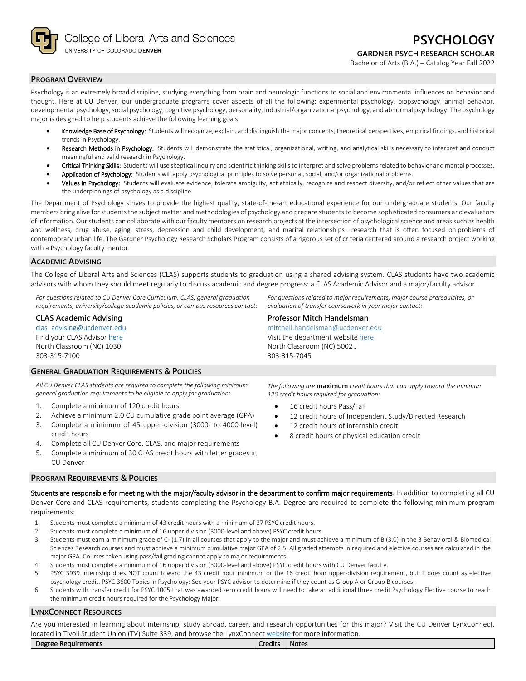

### **PROGRAM OVERVIEW**

Psychology is an extremely broad discipline, studying everything from brain and neurologic functions to social and environmental influences on behavior and thought. Here at CU Denver, our undergraduate programs cover aspects of all the following: experimental psychology, biopsychology, animal behavior, developmental psychology, social psychology, cognitive psychology, personality, industrial/organizational psychology, and abnormal psychology. The psychology major is designed to help students achieve the following learning goals:

- Knowledge Base of Psychology: Students will recognize, explain, and distinguish the major concepts, theoretical perspectives, empirical findings, and historical trends in Psychology.
- Research Methods in Psychology: Students will demonstrate the statistical, organizational, writing, and analytical skills necessary to interpret and conduct meaningful and valid research in Psychology.
- Critical Thinking Skills: Students will use skeptical inquiry and scientific thinking skills to interpret and solve problems related to behavior and mental processes.
- Application of Psychology: Students will apply psychological principles to solve personal, social, and/or organizational problems.
- Values in Psychology: Students will evaluate evidence, tolerate ambiguity, act ethically, recognize and respect diversity, and/or reflect other values that are the underpinnings of psychology as a discipline.

The Department of Psychology strives to provide the highest quality, state-of-the-art educational experience for our undergraduate students. Our faculty members bring alive for students the subject matter and methodologies of psychology and prepare students to become sophisticated consumers and evaluators of information. Our students can collaborate with our faculty members on research projects at the intersection of psychological science and areas such as health and wellness, drug abuse, aging, stress, depression and child development, and marital relationships—research that is often focused on problems of contemporary urban life. The Gardner Psychology Research Scholars Program consists of a rigorous set of criteria centered around a research project working with a Psychology faculty mentor.

#### **ACADEMIC ADVISING**

The College of Liberal Arts and Sciences (CLAS) supports students to graduation using a shared advising system. CLAS students have two academic advisors with whom they should meet regularly to discuss academic and degree progress: a CLAS Academic Advisor and a major/faculty advisor.

*For questions related to CU Denver Core Curriculum, CLAS, general graduation requirements, university/college academic policies, or campus resources contact:*

#### **CLAS Academic Advising**

[clas\\_advising@ucdenver.edu](mailto:clas_advising@ucdenver.edu) Find your CLAS Adviso[r here](https://clas.ucdenver.edu/advising/) North Classroom (NC) 1030 303-315-7100

## **GENERAL GRADUATION REQUIREMENTS & POLICIES**

*All CU Denver CLAS students are required to complete the following minimum general graduation requirements to be eligible to apply for graduation:*

- 1. Complete a minimum of 120 credit hours
- 2. Achieve a minimum 2.0 CU cumulative grade point average (GPA)
- 3. Complete a minimum of 45 upper-division (3000- to 4000-level) credit hours
- 4. Complete all CU Denver Core, CLAS, and major requirements
- 5. Complete a minimum of 30 CLAS credit hours with letter grades at CU Denver

*120 credit hours required for graduation:* 16 credit hours Pass/Fail

*The following are* **maximum** *credit hours that can apply toward the minimum* 

*For questions related to major requirements, major course prerequisites, or* 

- 12 credit hours of Independent Study/Directed Research
- 12 credit hours of internship credit
- 8 credit hours of physical education credit

*evaluation of transfer coursework in your major contact:*

**Professor Mitch Handelsman** [mitchell.handelsman@ucdenver.edu](mailto:mitchell.handelsman@ucdenver.edu) Visit the department websit[e here](https://clas.ucdenver.edu/psychology/) North Classroom (NC) 5002 J

303-315-7045

### **PROGRAM REQUIREMENTS & POLICIES**

Students are responsible for meeting with the major/faculty advisor in the department to confirm major requirements. In addition to completing all CU Denver Core and CLAS requirements, students completing the Psychology B.A. Degree are required to complete the following minimum program requirements:

- 1. Students must complete a minimum of 43 credit hours with a minimum of 37 PSYC credit hours.
- 2. Students must complete a minimum of 16 upper division (3000-level and above) PSYC credit hours.
- 3. Students must earn a minimum grade of C- (1.7) in all courses that apply to the major and must achieve a minimum of B (3.0) in the 3 Behavioral & Biomedical Sciences Research courses and must achieve a minimum cumulative major GPA of 2.5. All graded attempts in required and elective courses are calculated in the major GPA. Courses taken using pass/fail grading cannot apply to major requirements.
- 4. Students must complete a minimum of 16 upper division (3000-level and above) PSYC credit hours with CU Denver faculty.
- 5. PSYC 3939 Internship does NOT count toward the 43 credit hour minimum or the 16 credit hour upper-division requirement, but it does count as elective psychology credit. PSYC 3600 Topics in Psychology: See your PSYC advisor to determine if they count as Group A or Group B courses.
- 6. Students with transfer credit for PSYC 1005 that was awarded zero credit hours will need to take an additional three credit Psychology Elective course to reach the minimum credit hours required for the Psychology Major.

## **LYNXCONNECT RESOURCES**

Are you interested in learning about internship, study abroad, career, and research opportunities for this major? Visit the CU Denver LynxConnect, located in Tivoli Student Union (TV) Suite 339, and browse the LynxConnec[t website](http://www.ucdenver.edu/lynxconnect/Pages/default.aspx) for more information.

| Degree<br>Requirements ' | <br>Credits | <b>Notes</b> |
|--------------------------|-------------|--------------|
|                          |             |              |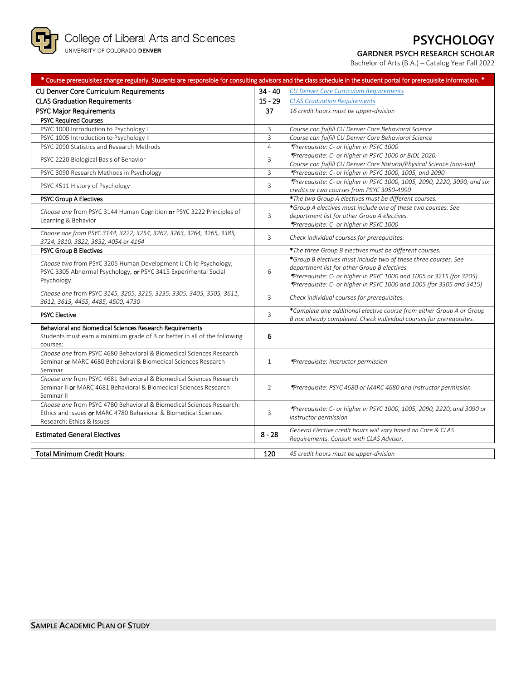

# **PSYCHOLOGY**

## **GARDNER PSYCH RESEARCH SCHOLAR**

Bachelor of Arts (B.A.) – Catalog Year Fall 2022

| $34 - 40$<br>CU Denver Core Curriculum Requirements<br><b>CU Denver Core Curriculum Requirements</b><br>$15 - 29$<br><b>CLAS Graduation Requirements</b><br><b>CLAS Graduation Requirements</b><br>37<br><b>PSYC Major Requirements</b><br>16 credit hours must be upper-division<br><b>PSYC Required Courses</b><br>PSYC 1000 Introduction to Psychology I<br>Course can fulfill CU Denver Core Behavioral Science<br>3<br>3<br>PSYC 1005 Introduction to Psychology II<br>Course can fulfill CU Denver Core Behavioral Science<br>PSYC 2090 Statistics and Research Methods<br>$\overline{4}$<br>*Prerequisite: C- or higher in PSYC 1000<br>*Prerequisite: C- or higher in PSYC 1000 or BIOL 2020.<br>3<br>PSYC 2220 Biological Basis of Behavior<br>Course can fulfill CU Denver Core Natural/Physical Science (non-lab)<br>*Prerequisite: C- or higher in PSYC 1000, 1005, and 2090<br>PSYC 3090 Research Methods in Psychology<br>3<br>PSYC 4511 History of Psychology<br>3<br>credits or two courses from PSYC 3050-4990<br>*The two Group A electives must be different courses.<br>PSYC Group A Electives<br>*Group A electives must include one of these two courses. See<br>Choose one from PSYC 3144 Human Cognition or PSYC 3222 Principles of<br>3<br>department list for other Group A electives.<br>Learning & Behavior<br>*Prerequisite: C- or higher in PSYC 1000<br>Choose one from PSYC 3144, 3222, 3254, 3262, 3263, 3264, 3265, 3385,<br>3<br>Check individual courses for prerequisites.<br>3724, 3810, 3822, 3832, 4054 or 4164<br><b>PSYC Group B Electives</b><br>*The three Group B electives must be different courses.<br>*Group B electives must include two of these three courses. See<br>Choose two from PSYC 3205 Human Development I: Child Psychology,<br>department list for other Group B electives.<br>PSYC 3305 Abnormal Psychology, or PSYC 3415 Experimental Social<br>6<br>*Prerequisite: C- or higher in PSYC 1000 and 1005 or 3215 (for 3205)<br>Psychology<br>*Prerequisite: C- or higher in PSYC 1000 and 1005 (for 3305 and 3415)<br>Choose one from PSYC 3145, 3205, 3215, 3235, 3305, 3405, 3505, 3611,<br>Check individual courses for prerequisites.<br>3<br>3612, 3615, 4455, 4485, 4500, 4730<br>*Complete one additional elective course from either Group A or Group<br><b>PSYC Elective</b><br>3<br>B not already completed. Check individual courses for prerequisites.<br>Behavioral and Biomedical Sciences Research Requirements<br>Students must earn a minimum grade of B or better in all of the following<br>6<br>courses:<br>Choose one from PSYC 4680 Behavioral & Biomedical Sciences Research<br>Seminar or MARC 4680 Behavioral & Biomedical Sciences Research<br>$\mathbf{1}$<br>*Prerequisite: Instructor permission<br>Seminar<br>Choose one from PSYC 4681 Behavioral & Biomedical Sciences Research<br>Seminar II or MARC 4681 Behavioral & Biomedical Sciences Research<br>2<br><i>Prerequisite: PSYC 4680 or MARC 4680 and instructor permission</i><br>Seminar II<br>Choose one from PSYC 4780 Behavioral & Biomedical Sciences Research:<br>*Prerequisite: C- or higher in PSYC 1000, 1005, 2090, 2220, and 3090 or<br>Ethics and Issues or MARC 4780 Behavioral & Biomedical Sciences<br>3 | * Course prerequisites change regularly. Students are responsible for consulting advisors and the class schedule in the student portal for prerequisite information. * |                                                                           |
|----------------------------------------------------------------------------------------------------------------------------------------------------------------------------------------------------------------------------------------------------------------------------------------------------------------------------------------------------------------------------------------------------------------------------------------------------------------------------------------------------------------------------------------------------------------------------------------------------------------------------------------------------------------------------------------------------------------------------------------------------------------------------------------------------------------------------------------------------------------------------------------------------------------------------------------------------------------------------------------------------------------------------------------------------------------------------------------------------------------------------------------------------------------------------------------------------------------------------------------------------------------------------------------------------------------------------------------------------------------------------------------------------------------------------------------------------------------------------------------------------------------------------------------------------------------------------------------------------------------------------------------------------------------------------------------------------------------------------------------------------------------------------------------------------------------------------------------------------------------------------------------------------------------------------------------------------------------------------------------------------------------------------------------------------------------------------------------------------------------------------------------------------------------------------------------------------------------------------------------------------------------------------------------------------------------------------------------------------------------------------------------------------------------------------------------------------------------------------------------------------------------------------------------------------------------------------------------------------------------------------------------------------------------------------------------------------------------------------------------------------------------------------------------------------------------------------------------------------------------------------------------------------------------------------------------------------------------------------------------------------------------------------------------------------------------------------------------------------------------------------------------------------------------------------------------------------------------------------------------------------------------------------|------------------------------------------------------------------------------------------------------------------------------------------------------------------------|---------------------------------------------------------------------------|
|                                                                                                                                                                                                                                                                                                                                                                                                                                                                                                                                                                                                                                                                                                                                                                                                                                                                                                                                                                                                                                                                                                                                                                                                                                                                                                                                                                                                                                                                                                                                                                                                                                                                                                                                                                                                                                                                                                                                                                                                                                                                                                                                                                                                                                                                                                                                                                                                                                                                                                                                                                                                                                                                                                                                                                                                                                                                                                                                                                                                                                                                                                                                                                                                                                                                            |                                                                                                                                                                        |                                                                           |
|                                                                                                                                                                                                                                                                                                                                                                                                                                                                                                                                                                                                                                                                                                                                                                                                                                                                                                                                                                                                                                                                                                                                                                                                                                                                                                                                                                                                                                                                                                                                                                                                                                                                                                                                                                                                                                                                                                                                                                                                                                                                                                                                                                                                                                                                                                                                                                                                                                                                                                                                                                                                                                                                                                                                                                                                                                                                                                                                                                                                                                                                                                                                                                                                                                                                            |                                                                                                                                                                        |                                                                           |
|                                                                                                                                                                                                                                                                                                                                                                                                                                                                                                                                                                                                                                                                                                                                                                                                                                                                                                                                                                                                                                                                                                                                                                                                                                                                                                                                                                                                                                                                                                                                                                                                                                                                                                                                                                                                                                                                                                                                                                                                                                                                                                                                                                                                                                                                                                                                                                                                                                                                                                                                                                                                                                                                                                                                                                                                                                                                                                                                                                                                                                                                                                                                                                                                                                                                            |                                                                                                                                                                        |                                                                           |
|                                                                                                                                                                                                                                                                                                                                                                                                                                                                                                                                                                                                                                                                                                                                                                                                                                                                                                                                                                                                                                                                                                                                                                                                                                                                                                                                                                                                                                                                                                                                                                                                                                                                                                                                                                                                                                                                                                                                                                                                                                                                                                                                                                                                                                                                                                                                                                                                                                                                                                                                                                                                                                                                                                                                                                                                                                                                                                                                                                                                                                                                                                                                                                                                                                                                            |                                                                                                                                                                        |                                                                           |
|                                                                                                                                                                                                                                                                                                                                                                                                                                                                                                                                                                                                                                                                                                                                                                                                                                                                                                                                                                                                                                                                                                                                                                                                                                                                                                                                                                                                                                                                                                                                                                                                                                                                                                                                                                                                                                                                                                                                                                                                                                                                                                                                                                                                                                                                                                                                                                                                                                                                                                                                                                                                                                                                                                                                                                                                                                                                                                                                                                                                                                                                                                                                                                                                                                                                            |                                                                                                                                                                        |                                                                           |
|                                                                                                                                                                                                                                                                                                                                                                                                                                                                                                                                                                                                                                                                                                                                                                                                                                                                                                                                                                                                                                                                                                                                                                                                                                                                                                                                                                                                                                                                                                                                                                                                                                                                                                                                                                                                                                                                                                                                                                                                                                                                                                                                                                                                                                                                                                                                                                                                                                                                                                                                                                                                                                                                                                                                                                                                                                                                                                                                                                                                                                                                                                                                                                                                                                                                            |                                                                                                                                                                        |                                                                           |
|                                                                                                                                                                                                                                                                                                                                                                                                                                                                                                                                                                                                                                                                                                                                                                                                                                                                                                                                                                                                                                                                                                                                                                                                                                                                                                                                                                                                                                                                                                                                                                                                                                                                                                                                                                                                                                                                                                                                                                                                                                                                                                                                                                                                                                                                                                                                                                                                                                                                                                                                                                                                                                                                                                                                                                                                                                                                                                                                                                                                                                                                                                                                                                                                                                                                            |                                                                                                                                                                        |                                                                           |
|                                                                                                                                                                                                                                                                                                                                                                                                                                                                                                                                                                                                                                                                                                                                                                                                                                                                                                                                                                                                                                                                                                                                                                                                                                                                                                                                                                                                                                                                                                                                                                                                                                                                                                                                                                                                                                                                                                                                                                                                                                                                                                                                                                                                                                                                                                                                                                                                                                                                                                                                                                                                                                                                                                                                                                                                                                                                                                                                                                                                                                                                                                                                                                                                                                                                            |                                                                                                                                                                        |                                                                           |
|                                                                                                                                                                                                                                                                                                                                                                                                                                                                                                                                                                                                                                                                                                                                                                                                                                                                                                                                                                                                                                                                                                                                                                                                                                                                                                                                                                                                                                                                                                                                                                                                                                                                                                                                                                                                                                                                                                                                                                                                                                                                                                                                                                                                                                                                                                                                                                                                                                                                                                                                                                                                                                                                                                                                                                                                                                                                                                                                                                                                                                                                                                                                                                                                                                                                            |                                                                                                                                                                        |                                                                           |
|                                                                                                                                                                                                                                                                                                                                                                                                                                                                                                                                                                                                                                                                                                                                                                                                                                                                                                                                                                                                                                                                                                                                                                                                                                                                                                                                                                                                                                                                                                                                                                                                                                                                                                                                                                                                                                                                                                                                                                                                                                                                                                                                                                                                                                                                                                                                                                                                                                                                                                                                                                                                                                                                                                                                                                                                                                                                                                                                                                                                                                                                                                                                                                                                                                                                            |                                                                                                                                                                        | *Prerequisite: C- or higher in PSYC 1000, 1005, 2090, 2220, 3090, and six |
|                                                                                                                                                                                                                                                                                                                                                                                                                                                                                                                                                                                                                                                                                                                                                                                                                                                                                                                                                                                                                                                                                                                                                                                                                                                                                                                                                                                                                                                                                                                                                                                                                                                                                                                                                                                                                                                                                                                                                                                                                                                                                                                                                                                                                                                                                                                                                                                                                                                                                                                                                                                                                                                                                                                                                                                                                                                                                                                                                                                                                                                                                                                                                                                                                                                                            |                                                                                                                                                                        |                                                                           |
|                                                                                                                                                                                                                                                                                                                                                                                                                                                                                                                                                                                                                                                                                                                                                                                                                                                                                                                                                                                                                                                                                                                                                                                                                                                                                                                                                                                                                                                                                                                                                                                                                                                                                                                                                                                                                                                                                                                                                                                                                                                                                                                                                                                                                                                                                                                                                                                                                                                                                                                                                                                                                                                                                                                                                                                                                                                                                                                                                                                                                                                                                                                                                                                                                                                                            |                                                                                                                                                                        |                                                                           |
|                                                                                                                                                                                                                                                                                                                                                                                                                                                                                                                                                                                                                                                                                                                                                                                                                                                                                                                                                                                                                                                                                                                                                                                                                                                                                                                                                                                                                                                                                                                                                                                                                                                                                                                                                                                                                                                                                                                                                                                                                                                                                                                                                                                                                                                                                                                                                                                                                                                                                                                                                                                                                                                                                                                                                                                                                                                                                                                                                                                                                                                                                                                                                                                                                                                                            |                                                                                                                                                                        |                                                                           |
|                                                                                                                                                                                                                                                                                                                                                                                                                                                                                                                                                                                                                                                                                                                                                                                                                                                                                                                                                                                                                                                                                                                                                                                                                                                                                                                                                                                                                                                                                                                                                                                                                                                                                                                                                                                                                                                                                                                                                                                                                                                                                                                                                                                                                                                                                                                                                                                                                                                                                                                                                                                                                                                                                                                                                                                                                                                                                                                                                                                                                                                                                                                                                                                                                                                                            |                                                                                                                                                                        |                                                                           |
|                                                                                                                                                                                                                                                                                                                                                                                                                                                                                                                                                                                                                                                                                                                                                                                                                                                                                                                                                                                                                                                                                                                                                                                                                                                                                                                                                                                                                                                                                                                                                                                                                                                                                                                                                                                                                                                                                                                                                                                                                                                                                                                                                                                                                                                                                                                                                                                                                                                                                                                                                                                                                                                                                                                                                                                                                                                                                                                                                                                                                                                                                                                                                                                                                                                                            |                                                                                                                                                                        |                                                                           |
|                                                                                                                                                                                                                                                                                                                                                                                                                                                                                                                                                                                                                                                                                                                                                                                                                                                                                                                                                                                                                                                                                                                                                                                                                                                                                                                                                                                                                                                                                                                                                                                                                                                                                                                                                                                                                                                                                                                                                                                                                                                                                                                                                                                                                                                                                                                                                                                                                                                                                                                                                                                                                                                                                                                                                                                                                                                                                                                                                                                                                                                                                                                                                                                                                                                                            |                                                                                                                                                                        |                                                                           |
|                                                                                                                                                                                                                                                                                                                                                                                                                                                                                                                                                                                                                                                                                                                                                                                                                                                                                                                                                                                                                                                                                                                                                                                                                                                                                                                                                                                                                                                                                                                                                                                                                                                                                                                                                                                                                                                                                                                                                                                                                                                                                                                                                                                                                                                                                                                                                                                                                                                                                                                                                                                                                                                                                                                                                                                                                                                                                                                                                                                                                                                                                                                                                                                                                                                                            |                                                                                                                                                                        |                                                                           |
|                                                                                                                                                                                                                                                                                                                                                                                                                                                                                                                                                                                                                                                                                                                                                                                                                                                                                                                                                                                                                                                                                                                                                                                                                                                                                                                                                                                                                                                                                                                                                                                                                                                                                                                                                                                                                                                                                                                                                                                                                                                                                                                                                                                                                                                                                                                                                                                                                                                                                                                                                                                                                                                                                                                                                                                                                                                                                                                                                                                                                                                                                                                                                                                                                                                                            |                                                                                                                                                                        |                                                                           |
|                                                                                                                                                                                                                                                                                                                                                                                                                                                                                                                                                                                                                                                                                                                                                                                                                                                                                                                                                                                                                                                                                                                                                                                                                                                                                                                                                                                                                                                                                                                                                                                                                                                                                                                                                                                                                                                                                                                                                                                                                                                                                                                                                                                                                                                                                                                                                                                                                                                                                                                                                                                                                                                                                                                                                                                                                                                                                                                                                                                                                                                                                                                                                                                                                                                                            |                                                                                                                                                                        |                                                                           |
|                                                                                                                                                                                                                                                                                                                                                                                                                                                                                                                                                                                                                                                                                                                                                                                                                                                                                                                                                                                                                                                                                                                                                                                                                                                                                                                                                                                                                                                                                                                                                                                                                                                                                                                                                                                                                                                                                                                                                                                                                                                                                                                                                                                                                                                                                                                                                                                                                                                                                                                                                                                                                                                                                                                                                                                                                                                                                                                                                                                                                                                                                                                                                                                                                                                                            |                                                                                                                                                                        |                                                                           |
| Research: Ethics & Issues                                                                                                                                                                                                                                                                                                                                                                                                                                                                                                                                                                                                                                                                                                                                                                                                                                                                                                                                                                                                                                                                                                                                                                                                                                                                                                                                                                                                                                                                                                                                                                                                                                                                                                                                                                                                                                                                                                                                                                                                                                                                                                                                                                                                                                                                                                                                                                                                                                                                                                                                                                                                                                                                                                                                                                                                                                                                                                                                                                                                                                                                                                                                                                                                                                                  |                                                                                                                                                                        | instructor permission                                                     |
| General Elective credit hours will vary based on Core & CLAS<br>$8 - 28$<br><b>Estimated General Electives</b><br>Requirements. Consult with CLAS Advisor.                                                                                                                                                                                                                                                                                                                                                                                                                                                                                                                                                                                                                                                                                                                                                                                                                                                                                                                                                                                                                                                                                                                                                                                                                                                                                                                                                                                                                                                                                                                                                                                                                                                                                                                                                                                                                                                                                                                                                                                                                                                                                                                                                                                                                                                                                                                                                                                                                                                                                                                                                                                                                                                                                                                                                                                                                                                                                                                                                                                                                                                                                                                 |                                                                                                                                                                        |                                                                           |
| <b>Total Minimum Credit Hours:</b><br>45 credit hours must be upper-division<br>120                                                                                                                                                                                                                                                                                                                                                                                                                                                                                                                                                                                                                                                                                                                                                                                                                                                                                                                                                                                                                                                                                                                                                                                                                                                                                                                                                                                                                                                                                                                                                                                                                                                                                                                                                                                                                                                                                                                                                                                                                                                                                                                                                                                                                                                                                                                                                                                                                                                                                                                                                                                                                                                                                                                                                                                                                                                                                                                                                                                                                                                                                                                                                                                        |                                                                                                                                                                        |                                                                           |